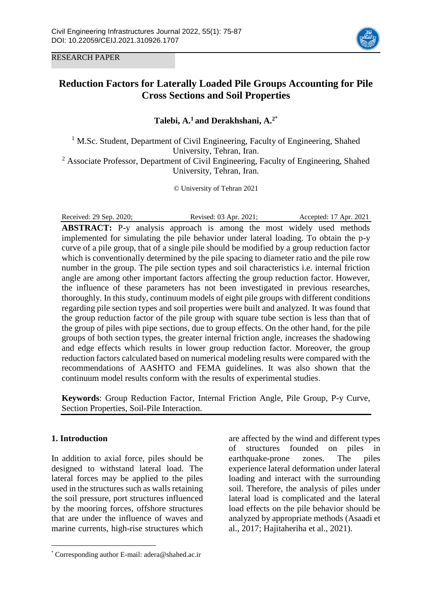RESEARCH PAPER



# **Reduction Factors for Laterally Loaded Pile Groups Accounting for Pile Cross Sections and Soil Properties**

**Talebi, A. <sup>1</sup> and Derakhshani, A. 2**\*

 $1$  M.Sc. Student, Department of Civil Engineering, Faculty of Engineering, Shahed University, Tehran, Iran.  $2$  Associate Professor, Department of Civil Engineering, Faculty of Engineering, Shahed University, Tehran, Iran.

© University of Tehran 2021

Received: 29 Sep. 2020; Revised: 03 Apr. 2021; Accepted: 17 Apr. 2021 **ABSTRACT:** P-y analysis approach is among the most widely used methods implemented for simulating the pile behavior under lateral loading. To obtain the p-y curve of a pile group, that of a single pile should be modified by a group reduction factor which is conventionally determined by the pile spacing to diameter ratio and the pile row number in the group. The pile section types and soil characteristics i.e. internal friction angle are among other important factors affecting the group reduction factor. However, the influence of these parameters has not been investigated in previous researches, thoroughly. In this study, continuum models of eight pile groups with different conditions regarding pile section types and soil properties were built and analyzed. It was found that the group reduction factor of the pile group with square tube section is less than that of the group of piles with pipe sections, due to group effects. On the other hand, for the pile groups of both section types, the greater internal friction angle, increases the shadowing and edge effects which results in lower group reduction factor. Moreover, the group reduction factors calculated based on numerical modeling results were compared with the recommendations of AASHTO and FEMA guidelines. It was also shown that the continuum model results conform with the results of experimental studies.

**Keywords**: Group Reduction Factor, Internal Friction Angle, Pile Group, P-y Curve, Section Properties, Soil-Pile Interaction.

## **1. Introduction**

 $\overline{a}$ 

In addition to axial force, piles should be designed to withstand lateral load. The lateral forces may be applied to the piles used in the structures such as walls retaining the soil pressure, port structures influenced by the mooring forces, offshore structures that are under the influence of waves and marine currents, high-rise structures which are affected by the wind and different types of structures founded on piles in earthquake-prone zones. The piles experience lateral deformation under lateral loading and interact with the surrounding soil. Therefore, the analysis of piles under lateral load is complicated and the lateral load effects on the pile behavior should be analyzed by appropriate methods (Asaadi et al., 2017; Hajitaheriha et al., 2021).

<sup>\*</sup> Corresponding author E-mail: adera@shahed.ac.ir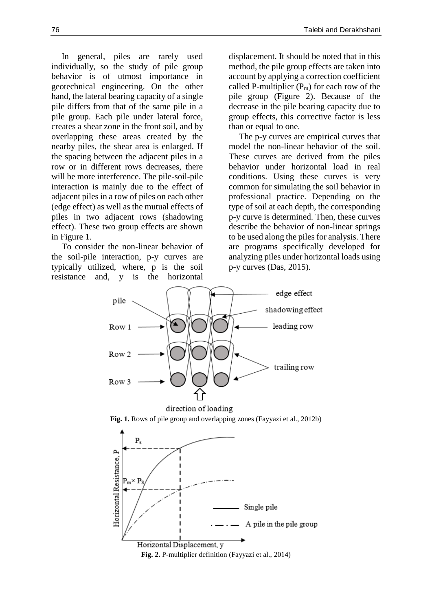In general, piles are rarely used individually, so the study of pile group behavior is of utmost importance in geotechnical engineering. On the other hand, the lateral bearing capacity of a single pile differs from that of the same pile in a pile group. Each pile under lateral force, creates a shear zone in the front soil, and by overlapping these areas created by the nearby piles, the shear area is enlarged. If the spacing between the adjacent piles in a row or in different rows decreases, there will be more interference. The pile-soil-pile interaction is mainly due to the effect of adjacent piles in a row of piles on each other (edge effect) as well as the mutual effects of piles in two adjacent rows (shadowing effect). These two group effects are shown in Figure 1.

To consider the non-linear behavior of the soil-pile interaction, p-y curves are typically utilized, where, p is the soil resistance and, y is the horizontal

displacement. It should be noted that in this method, the pile group effects are taken into account by applying a correction coefficient called P-multiplier  $(P_m)$  for each row of the pile group (Figure 2). Because of the decrease in the pile bearing capacity due to group effects, this corrective factor is less than or equal to one.

The p-y curves are empirical curves that model the non-linear behavior of the soil. These curves are derived from the piles behavior under horizontal load in real conditions. Using these curves is very common for simulating the soil behavior in professional practice. Depending on the type of soil at each depth, the corresponding p-y curve is determined. Then, these curves describe the behavior of non-linear springs to be used along the piles for analysis. There are programs specifically developed for analyzing piles under horizontal loads using p-y curves (Das, 2015).

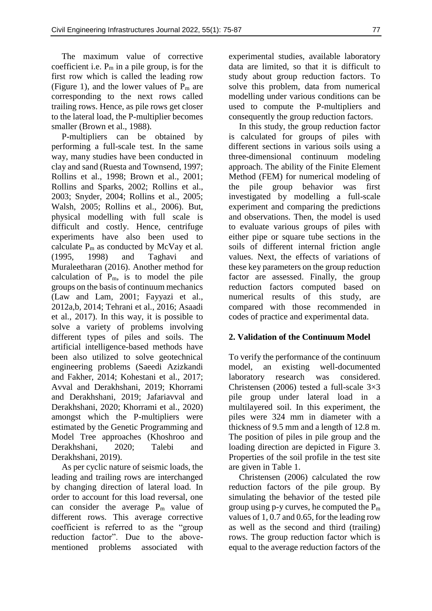The maximum value of corrective coefficient i.e.  $P_m$  in a pile group, is for the first row which is called the leading row (Figure 1), and the lower values of  $P_m$  are corresponding to the next rows called trailing rows. Hence, as pile rows get closer to the lateral load, the P-multiplier becomes smaller (Brown et al., 1988).

P-multipliers can be obtained by performing a full-scale test. In the same way, many studies have been conducted in clay and sand (Ruesta and Townsend, 1997; Rollins et al., 1998; Brown et al., 2001; Rollins and Sparks, 2002; Rollins et al., 2003; Snyder, 2004; Rollins et al., 2005; Walsh, 2005; Rollins et al., 2006). But, physical modelling with full scale is difficult and costly. Hence, centrifuge experiments have also been used to calculate  $P_m$  as conducted by McVay et al. (1995, 1998) and Taghavi and Muraleetharan (2016). Another method for calculation of Pm, is to model the pile groups on the basis of continuum mechanics (Law and Lam, 2001; Fayyazi et al., 2012a,b, 2014; Tehrani et al., 2016; Asaadi et al., 2017). In this way, it is possible to solve a variety of problems involving different types of piles and soils. The artificial intelligence-based methods have been also utilized to solve geotechnical engineering problems (Saeedi Azizkandi and Fakher, 2014; Kohestani et al., 2017; Avval and Derakhshani, 2019; Khorrami and Derakhshani, 2019; Jafariavval and Derakhshani, 2020; Khorrami et al., 2020) amongst which the P-multipliers were estimated by the Genetic Programming and Model Tree approaches (Khoshroo and Derakhshani, 2020; Talebi and Derakhshani, 2019).

As per cyclic nature of seismic loads, the leading and trailing rows are interchanged by changing direction of lateral load. In order to account for this load reversal, one can consider the average P<sup>m</sup> value of different rows. This average corrective coefficient is referred to as the "group reduction factor". Due to the abovementioned problems associated with

experimental studies, available laboratory data are limited, so that it is difficult to study about group reduction factors. To solve this problem, data from numerical modelling under various conditions can be used to compute the P-multipliers and consequently the group reduction factors.

In this study, the group reduction factor is calculated for groups of piles with different sections in various soils using a three-dimensional continuum modeling approach. The ability of the Finite Element Method (FEM) for numerical modeling of the pile group behavior was first investigated by modelling a full-scale experiment and comparing the predictions and observations. Then, the model is used to evaluate various groups of piles with either pipe or square tube sections in the soils of different internal friction angle values. Next, the effects of variations of these key parameters on the group reduction factor are assessed. Finally, the group reduction factors computed based on numerical results of this study, are compared with those recommended in codes of practice and experimental data.

## **2. Validation of the Continuum Model**

To verify the performance of the continuum model, an existing well-documented laboratory research was considered. Christensen (2006) tested a full-scale 3×3 pile group under lateral load in a multilayered soil. In this experiment, the piles were 324 mm in diameter with a thickness of 9.5 mm and a length of 12.8 m. The position of piles in pile group and the loading direction are depicted in Figure 3. Properties of the soil profile in the test site are given in Table 1.

Christensen (2006) calculated the row reduction factors of the pile group. By simulating the behavior of the tested pile group using  $p-y$  curves, he computed the  $P_m$ values of 1, 0.7 and 0.65, for the leading row as well as the second and third (trailing) rows. The group reduction factor which is equal to the average reduction factors of the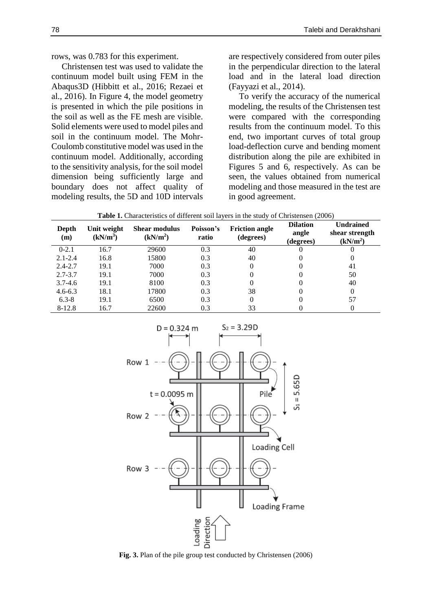rows, was 0.783 for this experiment.

Christensen test was used to validate the continuum model built using FEM in the Abaqus3D (Hibbitt et al., 2016; Rezaei et al., 2016). In Figure 4, the model geometry is presented in which the pile positions in the soil as well as the FE mesh are visible. Solid elements were used to model piles and soil in the continuum model. The Mohr-Coulomb constitutive model was used in the continuum model. Additionally, according to the sensitivity analysis, for the soil model dimension being sufficiently large and boundary does not affect quality of modeling results, the 5D and 10D intervals

are respectively considered from outer piles in the perpendicular direction to the lateral load and in the lateral load direction (Fayyazi et al., 2014).

To verify the accuracy of the numerical modeling, the results of the Christensen test were compared with the corresponding results from the continuum model. To this end, two important curves of total group load-deflection curve and bending moment distribution along the pile are exhibited in Figures 5 and 6, respectively. As can be seen, the values obtained from numerical modeling and those measured in the test are in good agreement.

| Table 1. Characteristics of different soil layers in the study of Christensen (2006) |  |  |
|--------------------------------------------------------------------------------------|--|--|
|--------------------------------------------------------------------------------------|--|--|

| Depth<br>(m) | Unit weight<br>$(kN/m^3)$ | Shear modulus<br>(kN/m <sup>2</sup> ) | Poisson's<br>ratio | <b>Friction angle</b><br>(degrees) | <b>Dilation</b><br>angle<br>(degrees) | <b>Undrained</b><br>shear strength<br>(kN/m <sup>2</sup> ) |
|--------------|---------------------------|---------------------------------------|--------------------|------------------------------------|---------------------------------------|------------------------------------------------------------|
| $0 - 2.1$    | 16.7                      | 29600                                 | 0.3                | 40                                 |                                       |                                                            |
| $2.1 - 2.4$  | 16.8                      | 15800                                 | 0.3                | 40                                 |                                       | $\theta$                                                   |
| $2.4 - 2.7$  | 19.1                      | 7000                                  | 0.3                | 0                                  |                                       | 41                                                         |
| $2.7 - 3.7$  | 19.1                      | 7000                                  | 0.3                |                                    |                                       | 50                                                         |
| $3.7 - 4.6$  | 19.1                      | 8100                                  | 0.3                | 0                                  |                                       | 40                                                         |
| $4.6 - 6.3$  | 18.1                      | 17800                                 | 0.3                | 38                                 |                                       | $\Omega$                                                   |
| $6.3 - 8$    | 19.1                      | 6500                                  | 0.3                | 0                                  |                                       | 57                                                         |
| 8-12.8       | 16.7                      | 22600                                 | 0.3                | 33                                 |                                       |                                                            |



**Fig. 3.** Plan of the pile group test conducted by Christensen (2006)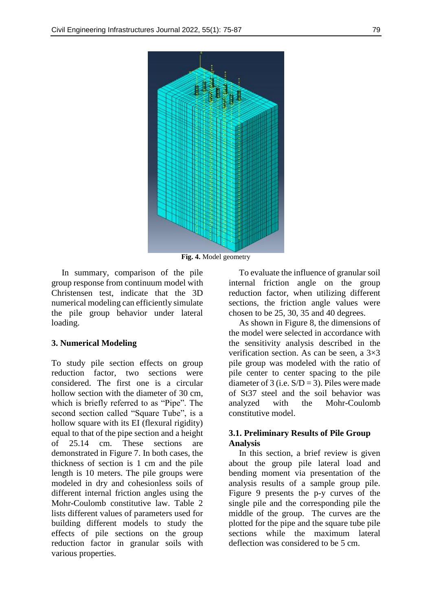

**Fig. 4.** Model geometry

In summary, comparison of the pile group response from continuum model with Christensen test, indicate that the 3D numerical modeling can efficiently simulate the pile group behavior under lateral loading.

#### **3. Numerical Modeling**

To study pile section effects on group reduction factor, two sections were considered. The first one is a circular hollow section with the diameter of 30 cm, which is briefly referred to as "Pipe". The second section called "Square Tube", is a hollow square with its EI (flexural rigidity) equal to that of the pipe section and a height of 25.14 cm. These sections are demonstrated in Figure 7. In both cases, the thickness of section is 1 cm and the pile length is 10 meters. The pile groups were modeled in dry and cohesionless soils of different internal friction angles using the Mohr-Coulomb constitutive law. Table 2 lists different values of parameters used for building different models to study the effects of pile sections on the group reduction factor in granular soils with various properties.

To evaluate the influence of granular soil internal friction angle on the group reduction factor, when utilizing different sections, the friction angle values were chosen to be 25, 30, 35 and 40 degrees.

As shown in Figure 8, the dimensions of the model were selected in accordance with the sensitivity analysis described in the verification section. As can be seen, a 3×3 pile group was modeled with the ratio of pile center to center spacing to the pile diameter of 3 (i.e.  $S/D = 3$ ). Piles were made of St37 steel and the soil behavior was analyzed with the Mohr-Coulomb constitutive model.

#### **3.1. Preliminary Results of Pile Group Analysis**

In this section, a brief review is given about the group pile lateral load and bending moment via presentation of the analysis results of a sample group pile. Figure 9 presents the p-y curves of the single pile and the corresponding pile the middle of the group. The curves are the plotted for the pipe and the square tube pile sections while the maximum lateral deflection was considered to be 5 cm.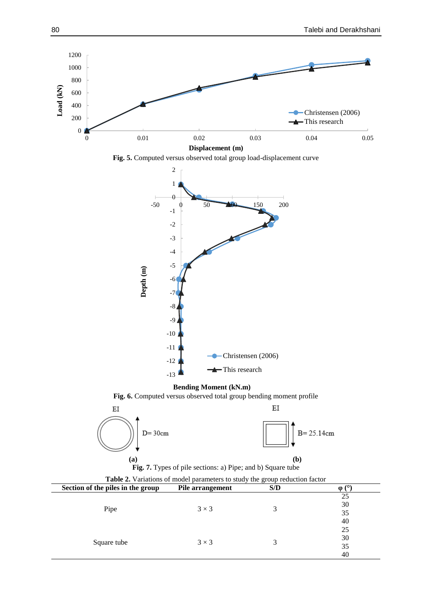30 35 40



**Fig. 5.** Computed versus observed total group load-displacement curve



Square tube  $3 \times 3$  3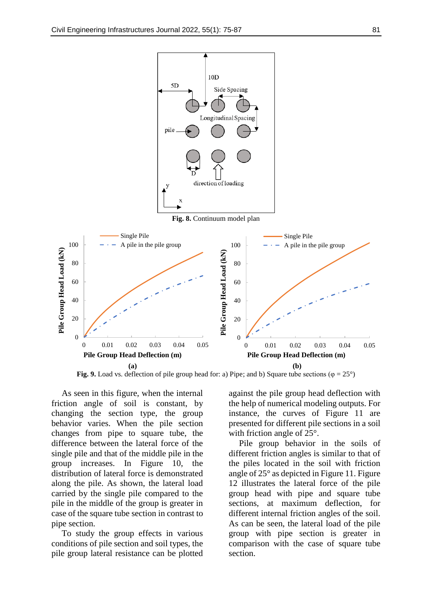

**Fig. 9.** Load vs. deflection of pile group head for: a) Pipe; and b) Square tube sections ( $\varphi = 25^{\circ}$ )

As seen in this figure, when the internal friction angle of soil is constant, by changing the section type, the group behavior varies. When the pile section changes from pipe to square tube, the difference between the lateral force of the single pile and that of the middle pile in the group increases. In Figure 10, the distribution of lateral force is demonstrated along the pile. As shown, the lateral load carried by the single pile compared to the pile in the middle of the group is greater in case of the square tube section in contrast to pipe section.

To study the group effects in various conditions of pile section and soil types, the pile group lateral resistance can be plotted

against the pile group head deflection with the help of numerical modeling outputs. For instance, the curves of Figure 11 are presented for different pile sections in a soil with friction angle of 25°.

Pile group behavior in the soils of different friction angles is similar to that of the piles located in the soil with friction angle of 25° as depicted in Figure 11. Figure 12 illustrates the lateral force of the pile group head with pipe and square tube sections, at maximum deflection, for different internal friction angles of the soil. As can be seen, the lateral load of the pile group with pipe section is greater in comparison with the case of square tube section.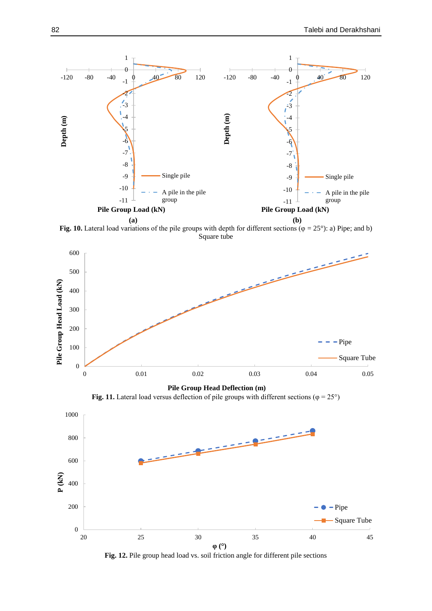

**Fig. 10.** Lateral load variations of the pile groups with depth for different sections ( $\varphi = 25^{\circ}$ ): a) Pipe; and b) Square tube



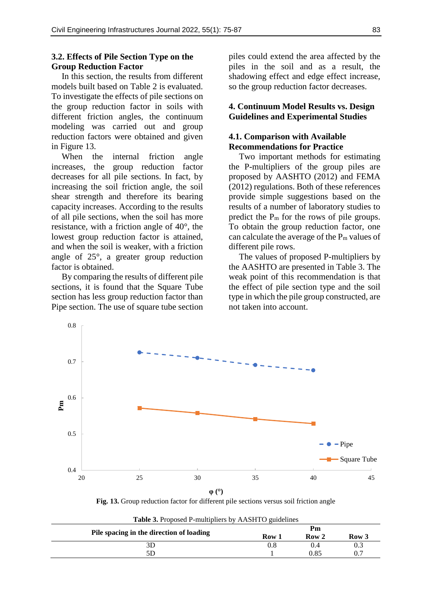#### **3.2. Effects of Pile Section Type on the Group Reduction Factor**

In this section, the results from different models built based on Table 2 is evaluated. To investigate the effects of pile sections on the group reduction factor in soils with different friction angles, the continuum modeling was carried out and group reduction factors were obtained and given in Figure 13.

When the internal friction angle increases, the group reduction factor decreases for all pile sections. In fact, by increasing the soil friction angle, the soil shear strength and therefore its bearing capacity increases. According to the results of all pile sections, when the soil has more resistance, with a friction angle of 40°, the lowest group reduction factor is attained, and when the soil is weaker, with a friction angle of 25°, a greater group reduction factor is obtained.

By comparing the results of different pile sections, it is found that the Square Tube section has less group reduction factor than Pipe section. The use of square tube section piles could extend the area affected by the piles in the soil and as a result, the shadowing effect and edge effect increase, so the group reduction factor decreases.

#### **4. Continuum Model Results vs. Design Guidelines and Experimental Studies**

#### **4.1. Comparison with Available Recommendations for Practice**

Two important methods for estimating the P-multipliers of the group piles are proposed by AASHTO (2012) and FEMA (2012) regulations. Both of these references provide simple suggestions based on the results of a number of laboratory studies to predict the  $P_m$  for the rows of pile groups. To obtain the group reduction factor, one can calculate the average of the  $P_m$  values of different pile rows.

The values of proposed P-multipliers by the AASHTO are presented in Table 3. The weak point of this recommendation is that the effect of pile section type and the soil type in which the pile group constructed, are not taken into account.



**Fig. 13.** Group reduction factor for different pile sections versus soil friction angle

|                                          | Pm    |                  |       |
|------------------------------------------|-------|------------------|-------|
| Pile spacing in the direction of loading | Row 1 | Row <sub>2</sub> | Row 3 |
|                                          | 9.8   |                  |       |
| 5D                                       |       | 0.85             |       |

**Table 3.** Proposed P-multipliers by AASHTO guidelines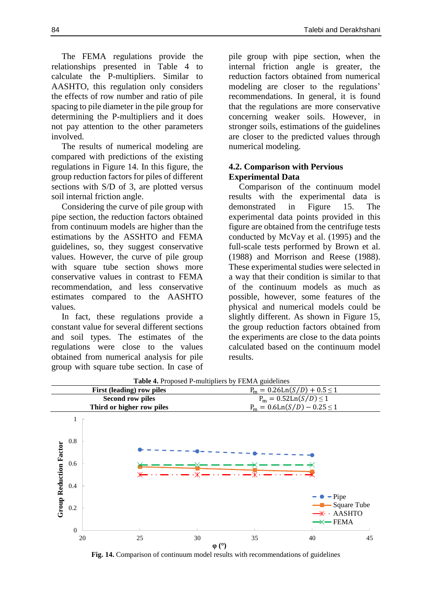The FEMA regulations provide the relationships presented in Table 4 to calculate the P-multipliers. Similar to AASHTO, this regulation only considers the effects of row number and ratio of pile spacing to pile diameter in the pile group for determining the P-multipliers and it does not pay attention to the other parameters involved.

The results of numerical modeling are compared with predictions of the existing regulations in Figure 14. In this figure, the group reduction factors for piles of different sections with S/D of 3, are plotted versus soil internal friction angle.

Considering the curve of pile group with pipe section, the reduction factors obtained from continuum models are higher than the estimations by the ASSHTO and FEMA guidelines, so, they suggest conservative values. However, the curve of pile group with square tube section shows more conservative values in contrast to FEMA recommendation, and less conservative estimates compared to the AASHTO values.

In fact, these regulations provide a constant value for several different sections and soil types. The estimates of the regulations were close to the values obtained from numerical analysis for pile group with square tube section. In case of pile group with pipe section, when the internal friction angle is greater, the reduction factors obtained from numerical modeling are closer to the regulations' recommendations. In general, it is found that the regulations are more conservative concerning weaker soils. However, in stronger soils, estimations of the guidelines are closer to the predicted values through numerical modeling.

# **4.2. Comparison with Pervious Experimental Data**

Comparison of the continuum model results with the experimental data is demonstrated in Figure 15. The experimental data points provided in this figure are obtained from the centrifuge tests conducted by McVay et al. (1995) and the full-scale tests performed by Brown et al. (1988) and Morrison and Reese (1988). These experimental studies were selected in a way that their condition is similar to that of the continuum models as much as possible, however, some features of the physical and numerical models could be slightly different. As shown in Figure 15, the group reduction factors obtained from the experiments are close to the data points calculated based on the continuum model results.



**Table 4.** Proposed P-multipliers by FEMA guidelines

**Fig. 14.** Comparison of continuum model results with recommendations of guidelines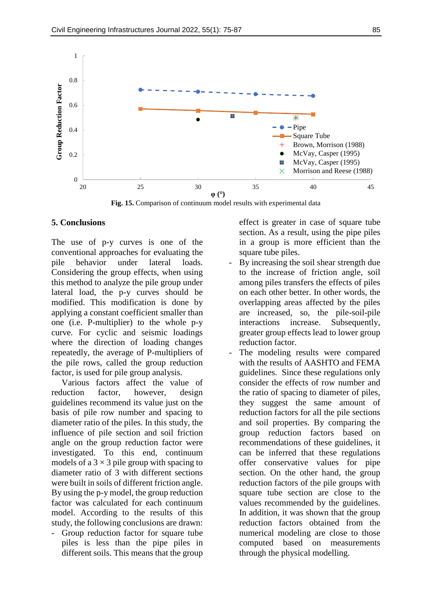

**Fig. 15.** Comparison of continuum model results with experimental data

#### **5. Conclusions**

The use of p-y curves is one of the conventional approaches for evaluating the pile behavior under lateral loads. Considering the group effects, when using this method to analyze the pile group under lateral load, the p-y curves should be modified. This modification is done by applying a constant coefficient smaller than one (i.e. P-multiplier) to the whole p-y curve. For cyclic and seismic loadings where the direction of loading changes repeatedly, the average of P-multipliers of the pile rows, called the group reduction factor, is used for pile group analysis.

Various factors affect the value of reduction factor, however, design guidelines recommend its value just on the basis of pile row number and spacing to diameter ratio of the piles. In this study, the influence of pile section and soil friction angle on the group reduction factor were investigated. To this end, continuum models of a  $3 \times 3$  pile group with spacing to diameter ratio of 3 with different sections were built in soils of different friction angle. By using the p-y model, the group reduction factor was calculated for each continuum model. According to the results of this study, the following conclusions are drawn:

Group reduction factor for square tube piles is less than the pipe piles in different soils. This means that the group

effect is greater in case of square tube section. As a result, using the pipe piles in a group is more efficient than the square tube piles.

- By increasing the soil shear strength due to the increase of friction angle, soil among piles transfers the effects of piles on each other better. In other words, the overlapping areas affected by the piles are increased, so, the pile-soil-pile interactions increase. Subsequently, greater group effects lead to lower group reduction factor.
- The modeling results were compared with the results of AASHTO and FEMA guidelines. Since these regulations only consider the effects of row number and the ratio of spacing to diameter of piles, they suggest the same amount of reduction factors for all the pile sections and soil properties. By comparing the group reduction factors based on recommendations of these guidelines, it can be inferred that these regulations offer conservative values for pipe section. On the other hand, the group reduction factors of the pile groups with square tube section are close to the values recommended by the guidelines. In addition, it was shown that the group reduction factors obtained from the numerical modeling are close to those computed based on measurements through the physical modelling.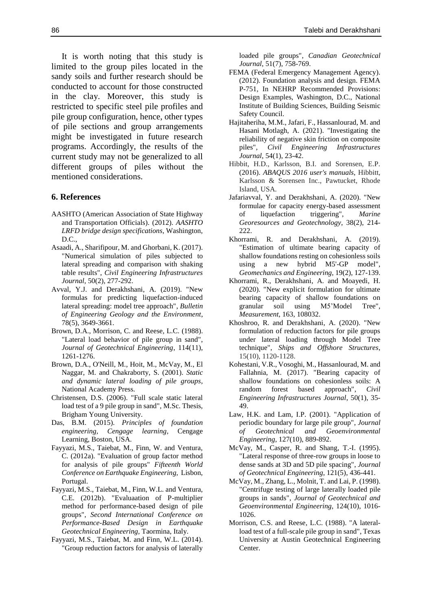It is worth noting that this study is limited to the group piles located in the sandy soils and further research should be conducted to account for those constructed in the clay. Moreover, this study is restricted to specific steel pile profiles and pile group configuration, hence, other types of pile sections and group arrangements might be investigated in future research programs. Accordingly, the results of the current study may not be generalized to all different groups of piles without the mentioned considerations.

#### **6. References**

- AASHTO (American Association of State Highway and Transportation Officials). (2012). *AASHTO LRFD bridge design specifications*, Washington, D.C.,
- Asaadi, A., Sharifipour, M. and Ghorbani, K. (2017). "Numerical simulation of piles subjected to lateral spreading and comparison with shaking table results", *Civil Engineering Infrastructures Journal*, 50(2), 277-292.
- Avval, Y.J. and Derakhshani, A. (2019). "New formulas for predicting liquefaction-induced lateral spreading: model tree approach", *Bulletin of Engineering Geology and the Environment*, 78(5), 3649-3661.
- Brown, D.A., Morrison, C. and Reese, L.C. (1988). "Lateral load behavior of pile group in sand", *Journal of Geotechnical Engineering*, 114(11), 1261-1276.
- Brown, D.A., O'Neill, M., Hoit, M., McVay, M., El Naggar, M. and Chakraborty, S. (2001). *Static and dynamic lateral loading of pile groups,* National Academy Press.
- Christensen, D.S. (2006). "Full scale static lateral load test of a 9 pile group in sand", M.Sc. Thesis, Brigham Young University.
- Das, B.M. (2015). *Principles of foundation engineering, Cengage learning*, Cengage Learning, Boston, USA.
- Fayyazi, M.S., Taiebat, M., Finn, W. and Ventura, C. (2012a). "Evaluation of group factor method for analysis of pile groups" *Fifteenth World Conference on Earthquake Engineering,* Lisbon, Portugal.
- Fayyazi, M.S., Taiebat, M., Finn, W.L. and Ventura, C.E. (2012b). "Evaluaation of P-multiplier method for performance-based design of pile groups", *Second International Conference on Performance-Based Design in Earthquake Geotechnical Engineering,* Taormina, Italy.
- Fayyazi, M.S., Taiebat, M. and Finn, W.L. (2014). "Group reduction factors for analysis of laterally

loaded pile groups", *Canadian Geotechnical Journal*, 51(7), 758-769.

- FEMA (Federal Emergency Management Agency). (2012). Foundation analysis and design. FEMA P-751, In NEHRP Recommended Provisions: Design Examples, Washington, D.C., National Institute of Building Sciences, Building Seismic Safety Council.
- Hajitaheriha, M.M., Jafari, F., Hassanlourad, M. and Hasani Motlagh, A. (2021). "Investigating the reliability of negative skin friction on composite piles", *Civil Engineering Infrastructures Journal*, 54(1), 23-42.
- Hibbit, H.D., Karlsson, B.I. and Sorensen, E.P. (2016). *ABAQUS 2016 user's manuals*, Hibbitt, Karlsson & Sorensen Inc., Pawtucket, Rhode Island, USA.
- Jafariavval, Y. and Derakhshani, A. (2020). "New formulae for capacity energy-based assessment of liquefaction triggering", *Marine Georesources and Geotechnology*, 38(2), 214- 222.
- Khorrami, R. and Derakhshani, A. (2019). "Estimation of ultimate bearing capacity of shallow foundations resting on cohesionless soils using a new hybrid M5'-GP model", *Geomechanics and Engineering*, 19(2), 127-139.
- Khorrami, R., Derakhshani, A. and Moayedi, H. (2020). "New explicit formulation for ultimate bearing capacity of shallow foundations on granular soil using M5'Model Tree", *Measurement*, 163, 108032.
- Khoshroo, R. and Derakhshani, A. (2020). "New formulation of reduction factors for pile groups under lateral loading through Model Tree technique", *Ships and Offshore Structures*, 15(10), 1120-1128.
- Kohestani, V.R., Vosoghi, M., Hassanlourad, M. and Fallahnia, M. (2017). "Bearing capacity of shallow foundations on cohesionless soils: A random forest based approach", *Civil Engineering Infrastructures Journal*, 50(1), 35- 49.
- Law, H.K. and Lam, I.P. (2001). "Application of periodic boundary for large pile group", *Journal of Geotechnical and Geoenvironmental Engineering*, 127(10), 889-892.
- McVay, M., Casper, R. and Shang, T.-I. (1995). "Lateral response of three-row groups in loose to dense sands at 3D and 5D pile spacing", *Journal of Geotechnical Engineering*, 121(5), 436-441.
- McVay, M., Zhang, L., Molnit, T. and Lai, P. (1998). "Centrifuge testing of large laterally loaded pile groups in sands", *Journal of Geotechnical and Geoenvironmental Engineering*, 124(10), 1016- 1026.
- Morrison, C.S. and Reese, L.C. (1988). "A lateralload test of a full-scale pile group in sand", Texas University at Austin Geotechnical Engineering Center.